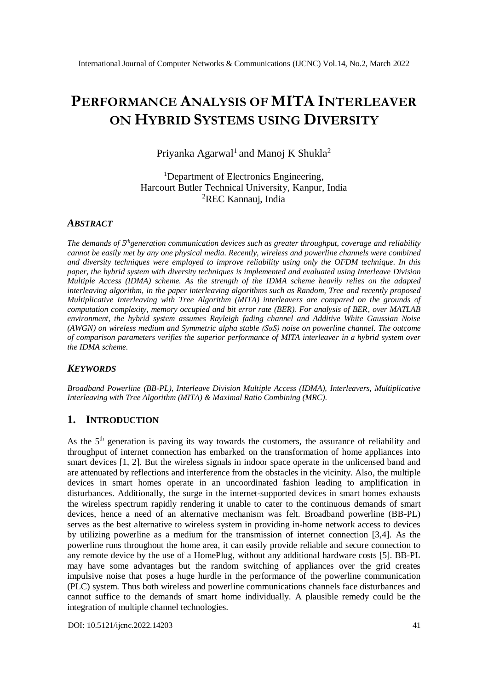# **PERFORMANCE ANALYSIS OF MITA INTERLEAVER ON HYBRID SYSTEMS USING DIVERSITY**

Priyanka Agarwal<sup>1</sup> and Manoj K Shukla<sup>2</sup>

<sup>1</sup>Department of Electronics Engineering, Harcourt Butler Technical University, Kanpur, India <sup>2</sup>REC Kannauj, India

## *ABSTRACT*

*The demands of 5 thgeneration communication devices such as greater throughput, coverage and reliability cannot be easily met by any one physical media. Recently, wireless and powerline channels were combined and diversity techniques were employed to improve reliability using only the OFDM technique. In this paper, the hybrid system with diversity techniques is implemented and evaluated using Interleave Division Multiple Access (IDMA) scheme. As the strength of the IDMA scheme heavily relies on the adapted interleaving algorithm, in the paper interleaving algorithms such as Random, Tree and recently proposed Multiplicative Interleaving with Tree Algorithm (MITA) interleavers are compared on the grounds of computation complexity, memory occupied and bit error rate (BER). For analysis of BER, over MATLAB environment, the hybrid system assumes Rayleigh fading channel and Additive White Gaussian Noise (AWGN) on wireless medium and Symmetric alpha stable (SαS) noise on powerline channel. The outcome of comparison parameters verifies the superior performance of MITA interleaver in a hybrid system over the IDMA scheme.*

#### *KEYWORDS*

*Broadband Powerline (BB-PL), Interleave Division Multiple Access (IDMA), Interleavers, Multiplicative Interleaving with Tree Algorithm (MITA) & Maximal Ratio Combining (MRC).*

## **1. INTRODUCTION**

As the  $5<sup>th</sup>$  generation is paving its way towards the customers, the assurance of reliability and throughput of internet connection has embarked on the transformation of home appliances into smart devices [1, 2]. But the wireless signals in indoor space operate in the unlicensed band and are attenuated by reflections and interference from the obstacles in the vicinity. Also, the multiple devices in smart homes operate in an uncoordinated fashion leading to amplification in disturbances. Additionally, the surge in the internet-supported devices in smart homes exhausts the wireless spectrum rapidly rendering it unable to cater to the continuous demands of smart devices, hence a need of an alternative mechanism was felt. Broadband powerline (BB-PL) serves as the best alternative to wireless system in providing in-home network access to devices by utilizing powerline as a medium for the transmission of internet connection [3,4]. As the powerline runs throughout the home area, it can easily provide reliable and secure connection to any remote device by the use of a HomePlug, without any additional hardware costs [5]. BB-PL may have some advantages but the random switching of appliances over the grid creates impulsive noise that poses a huge hurdle in the performance of the powerline communication (PLC) system. Thus both wireless and powerline communications channels face disturbances and cannot suffice to the demands of smart home individually. A plausible remedy could be the integration of multiple channel technologies.

[DOI: 10.5121/ijcnc.2022.14203](https://doi.org/10.5121/ijcnc.2022.14203) 41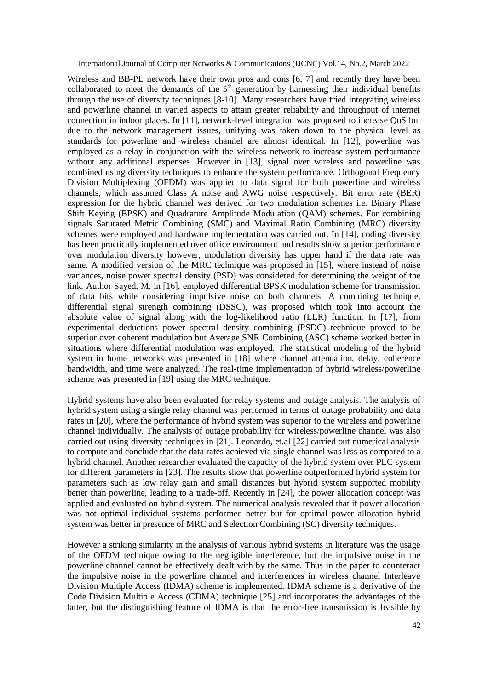Wireless and BB-PL network have their own pros and cons [6, 7] and recently they have been collaborated to meet the demands of the  $5<sup>th</sup>$  generation by harnessing their individual benefits through the use of diversity techniques [8-10]. Many researchers have tried integrating wireless and powerline channel in varied aspects to attain greater reliability and throughput of internet connection in indoor places. In [11], network-level integration was proposed to increase QoS but due to the network management issues, unifying was taken down to the physical level as standards for powerline and wireless channel are almost identical. In [12], powerline was employed as a relay in conjunction with the wireless network to increase system performance without any additional expenses. However in [13], signal over wireless and powerline was combined using diversity techniques to enhance the system performance. Orthogonal Frequency Division Multiplexing (OFDM) was applied to data signal for both powerline and wireless channels, which assumed Class A noise and AWG noise respectively. Bit error rate (BER) expression for the hybrid channel was derived for two modulation schemes i.e. Binary Phase Shift Keying (BPSK) and Quadrature Amplitude Modulation (QAM) schemes. For combining signals Saturated Metric Combining (SMC) and Maximal Ratio Combining (MRC) diversity schemes were employed and hardware implementation was carried out. In [14], coding diversity has been practically implemented over office environment and results show superior performance over modulation diversity however, modulation diversity has upper hand if the data rate was same. A modified version of the MRC technique was proposed in [15], where instead of noise variances, noise power spectral density (PSD) was considered for determining the weight of the link. Author Sayed, M. in [16], employed differential BPSK modulation scheme for transmission of data bits while considering impulsive noise on both channels. A combining technique, differential signal strength combining (DSSC), was proposed which took into account the absolute value of signal along with the log-likelihood ratio (LLR) function. In [17], from experimental deductions power spectral density combining (PSDC) technique proved to be superior over coherent modulation but Average SNR Combining (ASC) scheme worked better in situations where differential modulation was employed. The statistical modeling of the hybrid system in home networks was presented in [18] where channel attenuation, delay, coherence bandwidth, and time were analyzed. The real-time implementation of hybrid wireless/powerline scheme was presented in [19] using the MRC technique.

Hybrid systems have also been evaluated for relay systems and outage analysis. The analysis of hybrid system using a single relay channel was performed in terms of outage probability and data rates in [20], where the performance of hybrid system was superior to the wireless and powerline channel individually. The analysis of outage probability for wireless/powerline channel was also carried out using diversity techniques in [21]. Leonardo, et.al [22] carried out numerical analysis to compute and conclude that the data rates achieved via single channel was less as compared to a hybrid channel. Another researcher evaluated the capacity of the hybrid system over PLC system for different parameters in [23]. The results show that powerline outperformed hybrid system for parameters such as low relay gain and small distances but hybrid system supported mobility better than powerline, leading to a trade-off. Recently in [24], the power allocation concept was applied and evaluated on hybrid system. The numerical analysis revealed that if power allocation was not optimal individual systems performed better but for optimal power allocation hybrid system was better in presence of MRC and Selection Combining (SC) diversity techniques.

However a striking similarity in the analysis of various hybrid systems in literature was the usage of the OFDM technique owing to the negligible interference, but the impulsive noise in the powerline channel cannot be effectively dealt with by the same. Thus in the paper to counteract the impulsive noise in the powerline channel and interferences in wireless channel Interleave Division Multiple Access (IDMA) scheme is implemented. IDMA scheme is a derivative of the Code Division Multiple Access (CDMA) technique [25] and incorporates the advantages of the latter, but the distinguishing feature of IDMA is that the error-free transmission is feasible by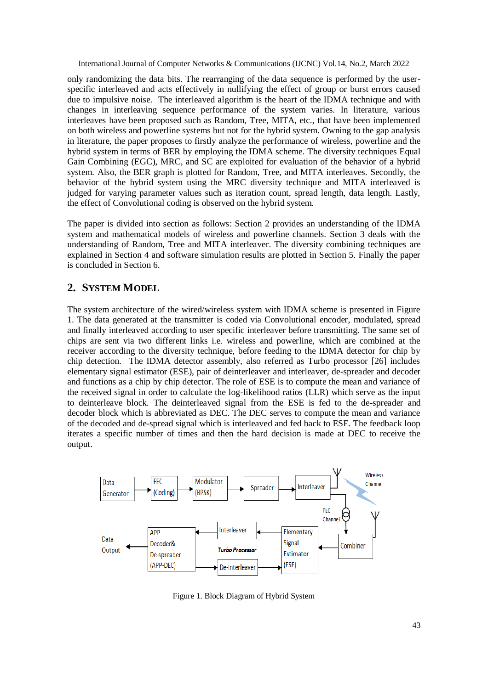only randomizing the data bits. The rearranging of the data sequence is performed by the userspecific interleaved and acts effectively in nullifying the effect of group or burst errors caused due to impulsive noise. The interleaved algorithm is the heart of the IDMA technique and with changes in interleaving sequence performance of the system varies. In literature, various interleaves have been proposed such as Random, Tree, MITA, etc., that have been implemented on both wireless and powerline systems but not for the hybrid system. Owning to the gap analysis in literature, the paper proposes to firstly analyze the performance of wireless, powerline and the hybrid system in terms of BER by employing the IDMA scheme. The diversity techniques Equal Gain Combining (EGC), MRC, and SC are exploited for evaluation of the behavior of a hybrid system. Also, the BER graph is plotted for Random, Tree, and MITA interleaves. Secondly, the behavior of the hybrid system using the MRC diversity technique and MITA interleaved is judged for varying parameter values such as iteration count, spread length, data length. Lastly, the effect of Convolutional coding is observed on the hybrid system.

The paper is divided into section as follows: Section 2 provides an understanding of the IDMA system and mathematical models of wireless and powerline channels. Section 3 deals with the understanding of Random, Tree and MITA interleaver. The diversity combining techniques are explained in Section 4 and software simulation results are plotted in Section 5. Finally the paper is concluded in Section 6.

# **2. SYSTEM MODEL**

The system architecture of the wired/wireless system with IDMA scheme is presented in Figure 1. The data generated at the transmitter is coded via Convolutional encoder, modulated, spread and finally interleaved according to user specific interleaver before transmitting. The same set of chips are sent via two different links i.e. wireless and powerline, which are combined at the receiver according to the diversity technique, before feeding to the IDMA detector for chip by chip detection. The IDMA detector assembly, also referred as Turbo processor [26] includes elementary signal estimator (ESE), pair of deinterleaver and interleaver, de-spreader and decoder and functions as a chip by chip detector. The role of ESE is to compute the mean and variance of the received signal in order to calculate the log-likelihood ratios (LLR) which serve as the input to deinterleave block. The deinterleaved signal from the ESE is fed to the de-spreader and decoder block which is abbreviated as DEC. The DEC serves to compute the mean and variance of the decoded and de-spread signal which is interleaved and fed back to ESE. The feedback loop iterates a specific number of times and then the hard decision is made at DEC to receive the output.



Figure 1. Block Diagram of Hybrid System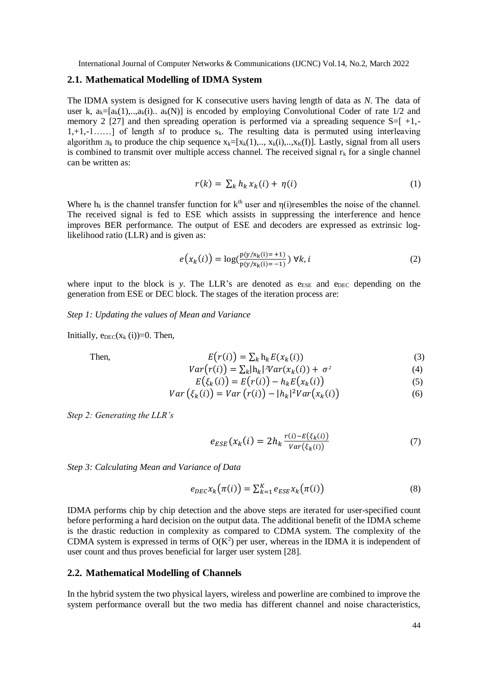#### **2.1. Mathematical Modelling of IDMA System**

The IDMA system is designed for K consecutive users having length of data as *N*. The data of user k,  $a_k=[a_k(1),...,a_k(i)]$  is encoded by employing Convolutional Coder of rate 1/2 and memory 2 [27] and then spreading operation is performed via a spreading sequence  $S=[+1,-]$ 1,+1,-1……] of length *sl* to produce sk. The resulting data is permuted using interleaving algorithm  $\pi_k$  to produce the chip sequence  $x_k=[x_k(1),...,x_k(i),...,x_k(I)]$ . Lastly, signal from all users is combined to transmit over multiple access channel. The received signal  $r_k$  for a single channel can be written as:

$$
r(k) = \sum_{k} h_k x_k(i) + \eta(i) \tag{1}
$$

Where  $h_k$  is the channel transfer function for  $k<sup>th</sup>$  user and  $n(i)$ resembles the noise of the channel. The received signal is fed to ESE which assists in suppressing the interference and hence improves BER performance. The output of ESE and decoders are expressed as extrinsic loglikelihood ratio (LLR) and is given as:

$$
e(x_k(i)) = \log(\frac{p(y/x_k(i)) = +1)}{p(y/x_k(i)) = -1}) \,\forall k, i
$$
 (2)

where input to the block is  $y$ . The LLR's are denoted as  $e_{\text{ESE}}$  and  $e_{\text{DEC}}$  depending on the generation from ESE or DEC block. The stages of the iteration process are:

#### *Step 1: Updating the values of Mean and Variance*

Initially,  $e_{DEC}(x_k(i))=0$ . Then,

Then, 
$$
E(r(i)) = \sum_{k} h_k E(x_k(i))
$$
 (3)

$$
Var(r(i)) = \sum_{k} |h_{k}|^{2} Var(x_{k}(i)) + \sigma^{2}
$$
\n(4)

$$
E(\xi_k(i)) = E(r(i)) - h_k E(x_k(i))
$$
\n(5)

$$
Var(\xi_k(i)) = Var(r(i)) - |h_k|^2 Var(x_k(i))
$$
\n(6)

*Step 2: Generating the LLR's*

$$
e_{ESE}(x_k(i) = 2h_k \frac{r(i) - E(\xi_k(i))}{Var(\xi_k(i))}
$$
\n<sup>(7)</sup>

*Step 3: Calculating Mean and Variance of Data*

$$
e_{DEC}x_k(\pi(i)) = \sum_{k=1}^K e_{ESE}x_k(\pi(i))
$$
\n(8)

IDMA performs chip by chip detection and the above steps are iterated for user-specified count before performing a hard decision on the output data. The additional benefit of the IDMA scheme is the drastic reduction in complexity as compared to CDMA system. The complexity of the CDMA system is expressed in terms of  $O(K^2)$  per user, whereas in the IDMA it is independent of user count and thus proves beneficial for larger user system [28].

## **2.2. Mathematical Modelling of Channels**

In the hybrid system the two physical layers, wireless and powerline are combined to improve the system performance overall but the two media has different channel and noise characteristics,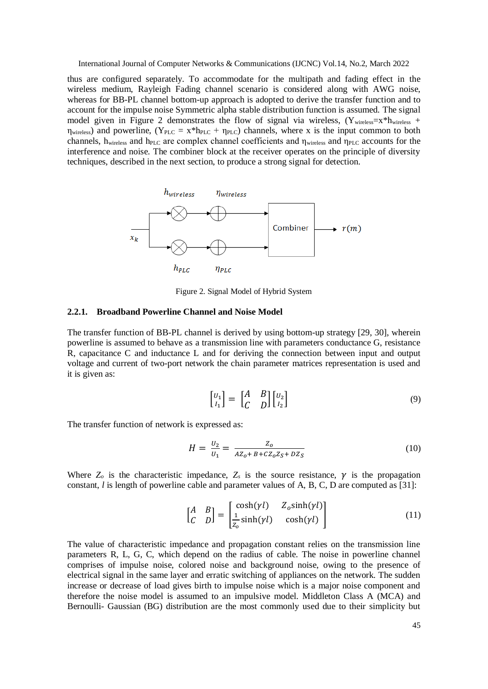thus are configured separately. To accommodate for the multipath and fading effect in the wireless medium, Rayleigh Fading channel scenario is considered along with AWG noise, whereas for BB-PL channel bottom-up approach is adopted to derive the transfer function and to account for the impulse noise Symmetric alpha stable distribution function is assumed. The signal model given in Figure 2 demonstrates the flow of signal via wireless,  $(Y_{wireless}=x*h_{wireless} +$  $η<sub>wireless</sub>$ ) and powerline, (Y<sub>PLC</sub> = x<sup>\*</sup>h<sub>PLC</sub> +  $η<sub>PLC</sub>$ ) channels, where x is the input common to both channels,  $h_{\text{wireless}}$  and  $h_{\text{PLC}}$  are complex channel coefficients and  $\eta_{\text{wireless}}$  and  $\eta_{\text{PLC}}$  accounts for the interference and noise. The combiner block at the receiver operates on the principle of diversity techniques, described in the next section, to produce a strong signal for detection.



Figure 2. Signal Model of Hybrid System

#### **2.2.1. Broadband Powerline Channel and Noise Model**

The transfer function of BB-PL channel is derived by using bottom-up strategy [29, 30], wherein powerline is assumed to behave as a transmission line with parameters conductance G, resistance R, capacitance C and inductance L and for deriving the connection between input and output voltage and current of two-port network the chain parameter matrices representation is used and it is given as:

$$
\begin{bmatrix} U_1 \\ I_1 \end{bmatrix} = \begin{bmatrix} A & B \\ C & D \end{bmatrix} \begin{bmatrix} U_2 \\ I_2 \end{bmatrix} \tag{9}
$$

The transfer function of network is expressed as:

$$
H = \frac{U_2}{U_1} = \frac{Z_0}{A Z_0 + B + C Z_0 Z_S + D Z_S}
$$
(10)

Where  $Z_0$  is the characteristic impedance,  $Z_s$  is the source resistance,  $\gamma$  is the propagation constant, *l* is length of powerline cable and parameter values of A, B, C, D are computed as [31]:

$$
\begin{bmatrix} A & B \\ C & D \end{bmatrix} = \begin{bmatrix} \cosh(\gamma l) & Z_o \sinh(\gamma l) \\ \frac{1}{Z_o} \sinh(\gamma l) & \cosh(\gamma l) \end{bmatrix}
$$
(11)

The value of characteristic impedance and propagation constant relies on the transmission line parameters R, L, G, C, which depend on the radius of cable. The noise in powerline channel comprises of impulse noise, colored noise and background noise, owing to the presence of electrical signal in the same layer and erratic switching of appliances on the network. The sudden increase or decrease of load gives birth to impulse noise which is a major noise component and therefore the noise model is assumed to an impulsive model. Middleton Class A (MCA) and Bernoulli- Gaussian (BG) distribution are the most commonly used due to their simplicity but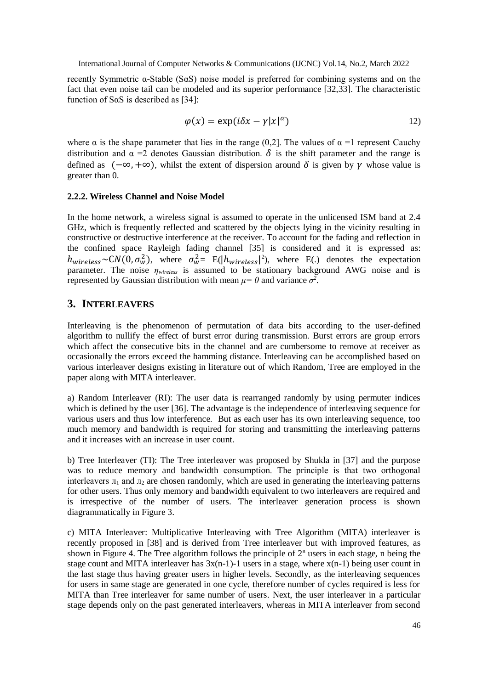recently Symmetric α-Stable (SαS) noise model is preferred for combining systems and on the fact that even noise tail can be modeled and its superior performance [32,33]. The characteristic function of S $\alpha$ S is described as [34]:

$$
\varphi(x) = \exp(i\delta x - \gamma |x|^{\alpha}) \tag{12}
$$

where  $\alpha$  is the shape parameter that lies in the range (0,2]. The values of  $\alpha =1$  represent Cauchy distribution and  $\alpha = 2$  denotes Gaussian distribution.  $\delta$  is the shift parameter and the range is defined as  $(-\infty, +\infty)$ , whilst the extent of dispersion around  $\delta$  is given by  $\gamma$  whose value is greater than 0.

#### **2.2.2. Wireless Channel and Noise Model**

In the home network, a wireless signal is assumed to operate in the unlicensed ISM band at 2.4 GHz, which is frequently reflected and scattered by the objects lying in the vicinity resulting in constructive or destructive interference at the receiver. To account for the fading and reflection in the confined space Rayleigh fading channel [35] is considered and it is expressed as:  $h_{wireless} \sim CN(0, \sigma_w^2)$ , where  $\sigma_w^2 = E(|h_{wireless}|^2)$ , where E(.) denotes the expectation parameter. The noise *ηwireless* is assumed to be stationary background AWG noise and is represented by Gaussian distribution with mean  $\mu = 0$  and variance  $\sigma^2$ .

# **3. INTERLEAVERS**

Interleaving is the phenomenon of permutation of data bits according to the user-defined algorithm to nullify the effect of burst error during transmission. Burst errors are group errors which affect the consecutive bits in the channel and are cumbersome to remove at receiver as occasionally the errors exceed the hamming distance. Interleaving can be accomplished based on various interleaver designs existing in literature out of which Random, Tree are employed in the paper along with MITA interleaver.

a) Random Interleaver (RI): The user data is rearranged randomly by using permuter indices which is defined by the user [36]. The advantage is the independence of interleaving sequence for various users and thus low interference. But as each user has its own interleaving sequence, too much memory and bandwidth is required for storing and transmitting the interleaving patterns and it increases with an increase in user count.

b) Tree Interleaver (TI): The Tree interleaver was proposed by Shukla in [37] and the purpose was to reduce memory and bandwidth consumption. The principle is that two orthogonal interleavers  $\pi_1$  and  $\pi_2$  are chosen randomly, which are used in generating the interleaving patterns for other users. Thus only memory and bandwidth equivalent to two interleavers are required and is irrespective of the number of users. The interleaver generation process is shown diagrammatically in Figure 3.

c) MITA Interleaver: Multiplicative Interleaving with Tree Algorithm (MITA) interleaver is recently proposed in [38] and is derived from Tree interleaver but with improved features, as shown in Figure 4. The Tree algorithm follows the principle of  $2<sup>n</sup>$  users in each stage, n being the stage count and MITA interleaver has  $3x(n-1)-1$  users in a stage, where  $x(n-1)$  being user count in the last stage thus having greater users in higher levels. Secondly, as the interleaving sequences for users in same stage are generated in one cycle, therefore number of cycles required is less for MITA than Tree interleaver for same number of users. Next, the user interleaver in a particular stage depends only on the past generated interleavers, whereas in MITA interleaver from second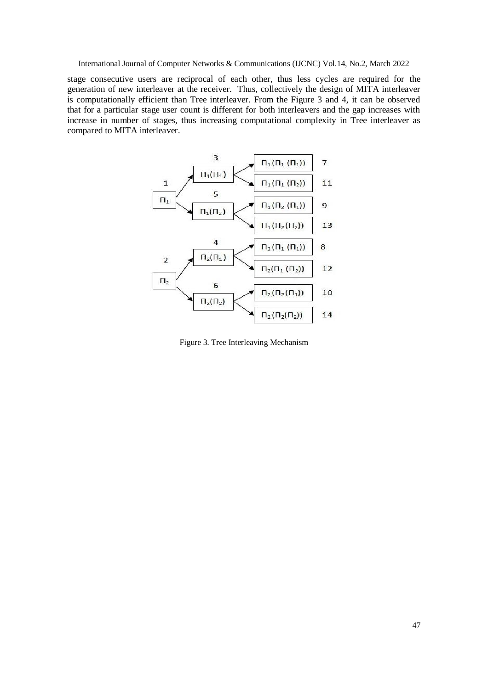stage consecutive users are reciprocal of each other, thus less cycles are required for the generation of new interleaver at the receiver. Thus, collectively the design of MITA interleaver is computationally efficient than Tree interleaver. From the Figure 3 and 4, it can be observed that for a particular stage user count is different for both interleavers and the gap increases with increase in number of stages, thus increasing computational complexity in Tree interleaver as compared to MITA interleaver.



Figure 3. Tree Interleaving Mechanism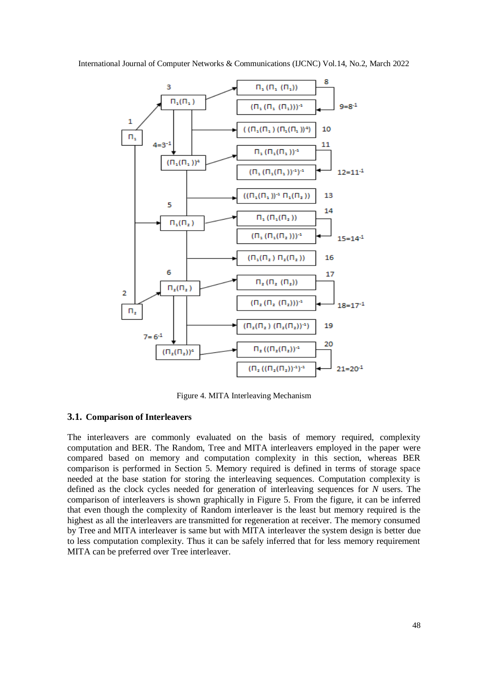

Figure 4. MITA Interleaving Mechanism

## **3.1. Comparison of Interleavers**

The interleavers are commonly evaluated on the basis of memory required, complexity computation and BER. The Random, Tree and MITA interleavers employed in the paper were compared based on memory and computation complexity in this section, whereas BER comparison is performed in Section 5. Memory required is defined in terms of storage space needed at the base station for storing the interleaving sequences. Computation complexity is defined as the clock cycles needed for generation of interleaving sequences for *N* users. The comparison of interleavers is shown graphically in Figure 5. From the figure, it can be inferred that even though the complexity of Random interleaver is the least but memory required is the highest as all the interleavers are transmitted for regeneration at receiver. The memory consumed by Tree and MITA interleaver is same but with MITA interleaver the system design is better due to less computation complexity. Thus it can be safely inferred that for less memory requirement MITA can be preferred over Tree interleaver.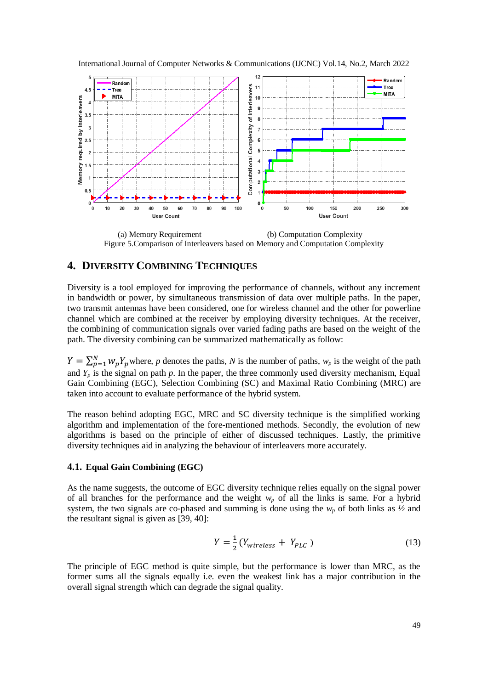

International Journal of Computer Networks & Communications (IJCNC) Vol.14, No.2, March 2022

 (a) Memory Requirement (b) Computation Complexity Figure 5.Comparison of Interleavers based on Memory and Computation Complexity

# **4. DIVERSITY COMBINING TECHNIQUES**

Diversity is a tool employed for improving the performance of channels, without any increment in bandwidth or power, by simultaneous transmission of data over multiple paths. In the paper, two transmit antennas have been considered, one for wireless channel and the other for powerline channel which are combined at the receiver by employing diversity techniques. At the receiver, the combining of communication signals over varied fading paths are based on the weight of the path. The diversity combining can be summarized mathematically as follow:

 $Y = \sum_{p=1}^{N} w_p Y_p$  where, *p* denotes the paths, *N* is the number of paths,  $w_p$  is the weight of the path and  $Y_p$  is the signal on path  $p$ . In the paper, the three commonly used diversity mechanism, Equal Gain Combining (EGC), Selection Combining (SC) and Maximal Ratio Combining (MRC) are taken into account to evaluate performance of the hybrid system.

The reason behind adopting EGC, MRC and SC diversity technique is the simplified working algorithm and implementation of the fore-mentioned methods. Secondly, the evolution of new algorithms is based on the principle of either of discussed techniques. Lastly, the primitive diversity techniques aid in analyzing the behaviour of interleavers more accurately.

## **4.1. Equal Gain Combining (EGC)**

As the name suggests, the outcome of EGC diversity technique relies equally on the signal power of all branches for the performance and the weight  $w_p$  of all the links is same. For a hybrid system, the two signals are co-phased and summing is done using the  $w_p$  of both links as  $\frac{1}{2}$  and the resultant signal is given as [39, 40]:

$$
Y = \frac{1}{2} \left( Y_{wireless} + Y_{PLC} \right) \tag{13}
$$

The principle of EGC method is quite simple, but the performance is lower than MRC, as the former sums all the signals equally i.e. even the weakest link has a major contribution in the overall signal strength which can degrade the signal quality.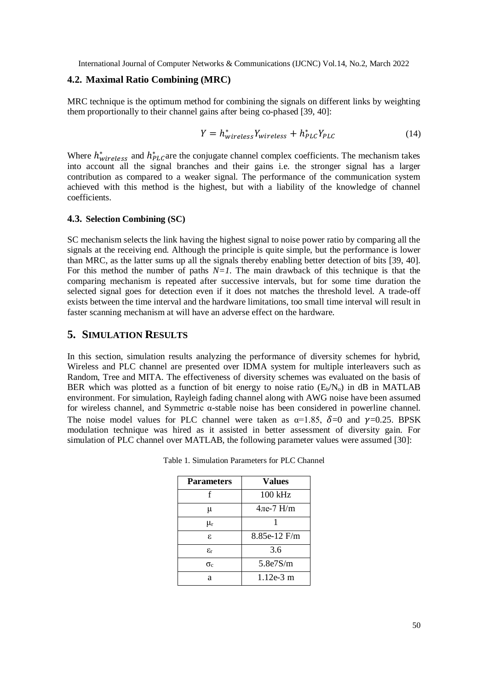#### **4.2. Maximal Ratio Combining (MRC)**

MRC technique is the optimum method for combining the signals on different links by weighting them proportionally to their channel gains after being co-phased [39, 40]:

$$
Y = h_{wireless}^* Y_{wireless} + h_{PLC}^* Y_{PLC}
$$
 (14)

Where  $h^*_{wireless}$  and  $h^*_{PLC}$  are the conjugate channel complex coefficients. The mechanism takes into account all the signal branches and their gains i.e. the stronger signal has a larger contribution as compared to a weaker signal. The performance of the communication system achieved with this method is the highest, but with a liability of the knowledge of channel coefficients.

## **4.3. Selection Combining (SC)**

SC mechanism selects the link having the highest signal to noise power ratio by comparing all the signals at the receiving end. Although the principle is quite simple, but the performance is lower than MRC, as the latter sums up all the signals thereby enabling better detection of bits [39, 40]. For this method the number of paths *N=1*. The main drawback of this technique is that the comparing mechanism is repeated after successive intervals, but for some time duration the selected signal goes for detection even if it does not matches the threshold level. A trade-off exists between the time interval and the hardware limitations, too small time interval will result in faster scanning mechanism at will have an adverse effect on the hardware.

# **5. SIMULATION RESULTS**

In this section, simulation results analyzing the performance of diversity schemes for hybrid, Wireless and PLC channel are presented over IDMA system for multiple interleavers such as Random, Tree and MITA. The effectiveness of diversity schemes was evaluated on the basis of BER which was plotted as a function of bit energy to noise ratio  $(E_b/N_o)$  in dB in MATLAB environment. For simulation, Rayleigh fading channel along with AWG noise have been assumed for wireless channel, and Symmetric α-stable noise has been considered in powerline channel. The noise model values for PLC channel were taken as  $\alpha=1.85$ ,  $\delta=0$  and  $\gamma=0.25$ . BPSK modulation technique was hired as it assisted in better assessment of diversity gain. For simulation of PLC channel over MATLAB, the following parameter values were assumed [30]:

| <b>Parameters</b> | <b>Values</b> |
|-------------------|---------------|
| f                 | 100 kHz       |
| μ                 | 4ле-7 $H/m$   |
| $\mu_{\rm r}$     |               |
| ε.                | 8.85e-12 F/m  |
| $\varepsilon_{r}$ | 3.6           |
| $\sigma_{\rm c}$  | 5.8e7S/m      |
| я                 | $1.12e-3$ m   |

Table 1. Simulation Parameters for PLC Channel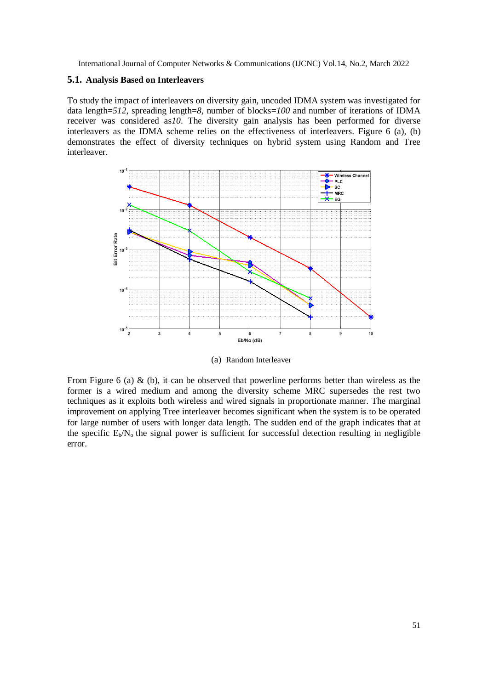#### **5.1. Analysis Based on Interleavers**

To study the impact of interleavers on diversity gain, uncoded IDMA system was investigated for data length=*512*, spreading length=*8*, number of blocks=*100* and number of iterations of IDMA receiver was considered as*10*. The diversity gain analysis has been performed for diverse interleavers as the IDMA scheme relies on the effectiveness of interleavers. Figure 6 (a), (b) demonstrates the effect of diversity techniques on hybrid system using Random and Tree interleaver.



(a) Random Interleaver

From Figure 6 (a) & (b), it can be observed that powerline performs better than wireless as the former is a wired medium and among the diversity scheme MRC supersedes the rest two techniques as it exploits both wireless and wired signals in proportionate manner. The marginal improvement on applying Tree interleaver becomes significant when the system is to be operated for large number of users with longer data length. The sudden end of the graph indicates that at the specific  $E_b/N_0$  the signal power is sufficient for successful detection resulting in negligible error.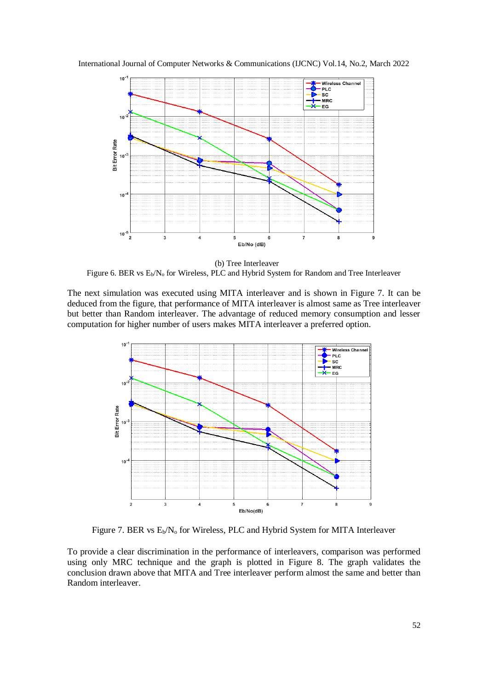International Journal of Computer Networks & Communications (IJCNC) Vol.14, No.2, March 2022



(b) Tree Interleaver Figure 6. BER vs E<sub>b</sub>/N<sub>o</sub> for Wireless, PLC and Hybrid System for Random and Tree Interleaver

The next simulation was executed using MITA interleaver and is shown in Figure 7. It can be deduced from the figure, that performance of MITA interleaver is almost same as Tree interleaver but better than Random interleaver. The advantage of reduced memory consumption and lesser computation for higher number of users makes MITA interleaver a preferred option.



Figure 7. BER vs  $E_b/N_0$  for Wireless, PLC and Hybrid System for MITA Interleaver

To provide a clear discrimination in the performance of interleavers, comparison was performed using only MRC technique and the graph is plotted in Figure 8. The graph validates the conclusion drawn above that MITA and Tree interleaver perform almost the same and better than Random interleaver.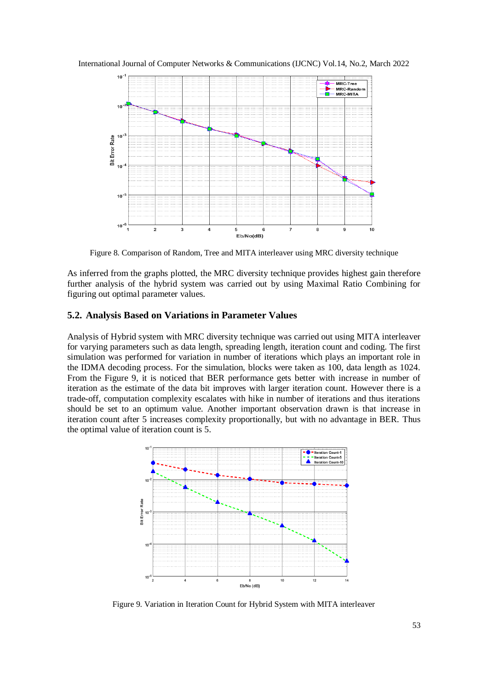International Journal of Computer Networks & Communications (IJCNC) Vol.14, No.2, March 2022



Figure 8. Comparison of Random, Tree and MITA interleaver using MRC diversity technique

As inferred from the graphs plotted, the MRC diversity technique provides highest gain therefore further analysis of the hybrid system was carried out by using Maximal Ratio Combining for figuring out optimal parameter values.

## **5.2. Analysis Based on Variations in Parameter Values**

Analysis of Hybrid system with MRC diversity technique was carried out using MITA interleaver for varying parameters such as data length, spreading length, iteration count and coding. The first simulation was performed for variation in number of iterations which plays an important role in the IDMA decoding process. For the simulation, blocks were taken as 100, data length as 1024. From the Figure 9, it is noticed that BER performance gets better with increase in number of iteration as the estimate of the data bit improves with larger iteration count. However there is a trade-off, computation complexity escalates with hike in number of iterations and thus iterations should be set to an optimum value. Another important observation drawn is that increase in iteration count after 5 increases complexity proportionally, but with no advantage in BER. Thus the optimal value of iteration count is 5.



Figure 9. Variation in Iteration Count for Hybrid System with MITA interleaver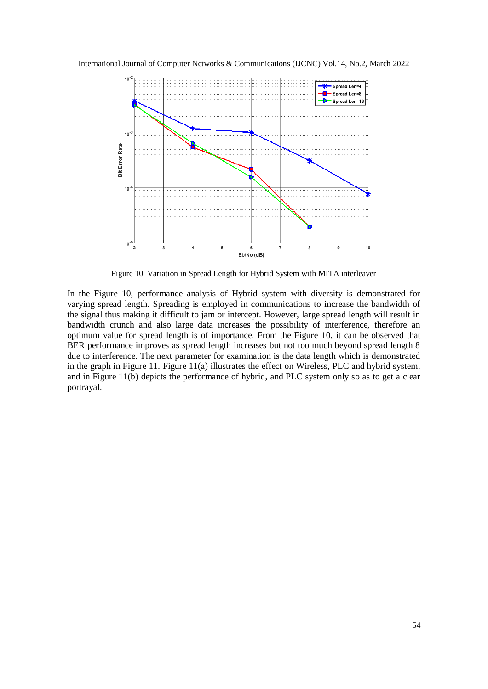International Journal of Computer Networks & Communications (IJCNC) Vol.14, No.2, March 2022



Figure 10. Variation in Spread Length for Hybrid System with MITA interleaver

In the Figure 10, performance analysis of Hybrid system with diversity is demonstrated for varying spread length. Spreading is employed in communications to increase the bandwidth of the signal thus making it difficult to jam or intercept. However, large spread length will result in bandwidth crunch and also large data increases the possibility of interference, therefore an optimum value for spread length is of importance. From the Figure 10, it can be observed that BER performance improves as spread length increases but not too much beyond spread length 8 due to interference. The next parameter for examination is the data length which is demonstrated in the graph in Figure 11. Figure 11(a) illustrates the effect on Wireless, PLC and hybrid system, and in Figure 11(b) depicts the performance of hybrid, and PLC system only so as to get a clear portrayal.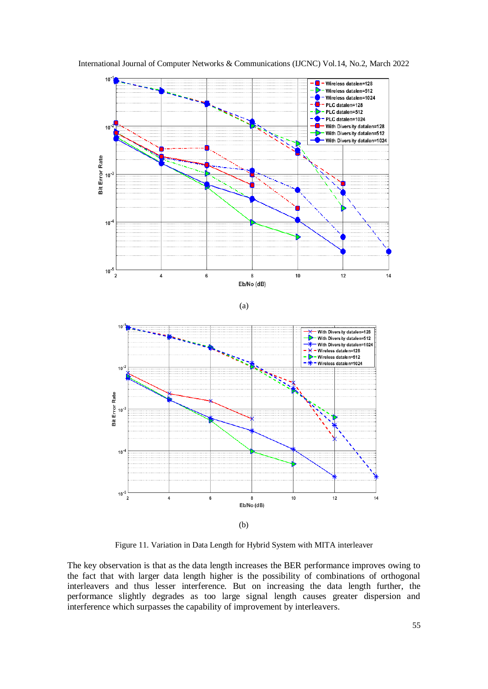

International Journal of Computer Networks & Communications (IJCNC) Vol.14, No.2, March 2022

Figure 11. Variation in Data Length for Hybrid System with MITA interleaver

(b)

8 Eb/No (dB)  $10$ 

 $12$ 

 $14$ 

 $\boldsymbol{6}$ 

 $\overline{4}$ 

 $10^{-5}$  $\overline{2}$ 

The key observation is that as the data length increases the BER performance improves owing to the fact that with larger data length higher is the possibility of combinations of orthogonal interleavers and thus lesser interference. But on increasing the data length further, the performance slightly degrades as too large signal length causes greater dispersion and interference which surpasses the capability of improvement by interleavers.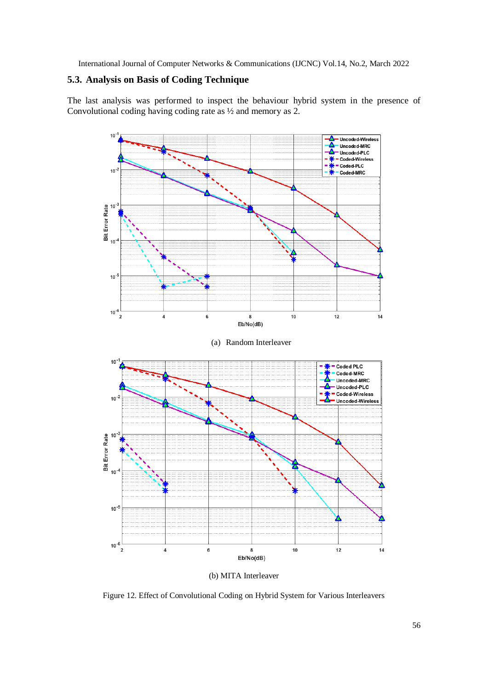# **5.3. Analysis on Basis of Coding Technique**

The last analysis was performed to inspect the behaviour hybrid system in the presence of Convolutional coding having coding rate as ½ and memory as 2.



(b) MITA Interleaver

Figure 12. Effect of Convolutional Coding on Hybrid System for Various Interleavers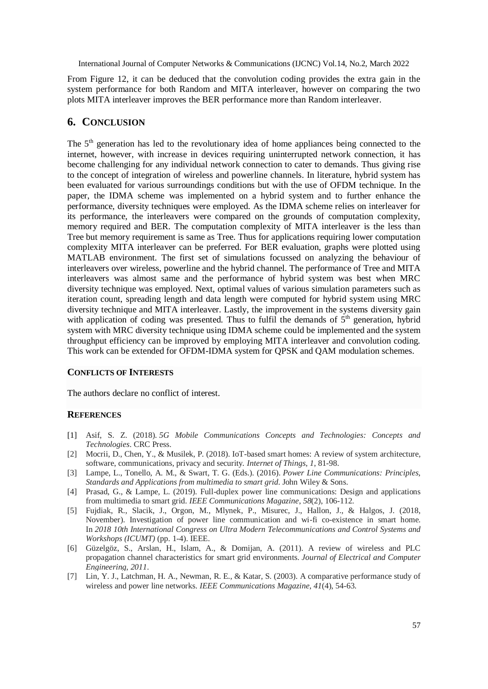From Figure 12, it can be deduced that the convolution coding provides the extra gain in the system performance for both Random and MITA interleaver, however on comparing the two plots MITA interleaver improves the BER performance more than Random interleaver.

# **6. CONCLUSION**

The  $5<sup>th</sup>$  generation has led to the revolutionary idea of home appliances being connected to the internet, however, with increase in devices requiring uninterrupted network connection, it has become challenging for any individual network connection to cater to demands. Thus giving rise to the concept of integration of wireless and powerline channels. In literature, hybrid system has been evaluated for various surroundings conditions but with the use of OFDM technique. In the paper, the IDMA scheme was implemented on a hybrid system and to further enhance the performance, diversity techniques were employed. As the IDMA scheme relies on interleaver for its performance, the interleavers were compared on the grounds of computation complexity, memory required and BER. The computation complexity of MITA interleaver is the less than Tree but memory requirement is same as Tree. Thus for applications requiring lower computation complexity MITA interleaver can be preferred. For BER evaluation, graphs were plotted using MATLAB environment. The first set of simulations focussed on analyzing the behaviour of interleavers over wireless, powerline and the hybrid channel. The performance of Tree and MITA interleavers was almost same and the performance of hybrid system was best when MRC diversity technique was employed. Next, optimal values of various simulation parameters such as iteration count, spreading length and data length were computed for hybrid system using MRC diversity technique and MITA interleaver. Lastly, the improvement in the systems diversity gain with application of coding was presented. Thus to fulfil the demands of  $5<sup>th</sup>$  generation, hybrid system with MRC diversity technique using IDMA scheme could be implemented and the system throughput efficiency can be improved by employing MITA interleaver and convolution coding. This work can be extended for OFDM-IDMA system for QPSK and QAM modulation schemes.

## **CONFLICTS OF INTERESTS**

The authors declare no conflict of interest.

# **REFERENCES**

- [1] Asif, S. Z. (2018). *5G Mobile Communications Concepts and Technologies: Concepts and Technologies*. CRC Press.
- [2] Mocrii, D., Chen, Y., & Musilek, P. (2018). IoT-based smart homes: A review of system architecture, software, communications, privacy and security. *Internet of Things*, *1*, 81-98.
- [3] Lampe, L., Tonello, A. M., & Swart, T. G. (Eds.). (2016). *Power Line Communications: Principles, Standards and Applications from multimedia to smart grid*. John Wiley & Sons.
- [4] Prasad, G., & Lampe, L. (2019). Full-duplex power line communications: Design and applications from multimedia to smart grid. *IEEE Communications Magazine*, *58*(2), 106-112.
- [5] Fujdiak, R., Slacik, J., Orgon, M., Mlynek, P., Misurec, J., Hallon, J., & Halgos, J. (2018, November). Investigation of power line communication and wi-fi co-existence in smart home. In *2018 10th International Congress on Ultra Modern Telecommunications and Control Systems and Workshops (ICUMT)* (pp. 1-4). IEEE.
- [6] Güzelgöz, S., Arslan, H., Islam, A., & Domijan, A. (2011). A review of wireless and PLC propagation channel characteristics for smart grid environments. *Journal of Electrical and Computer Engineering*, *2011*.
- [7] Lin, Y. J., Latchman, H. A., Newman, R. E., & Katar, S. (2003). A comparative performance study of wireless and power line networks. *IEEE Communications Magazine*, *41*(4), 54-63.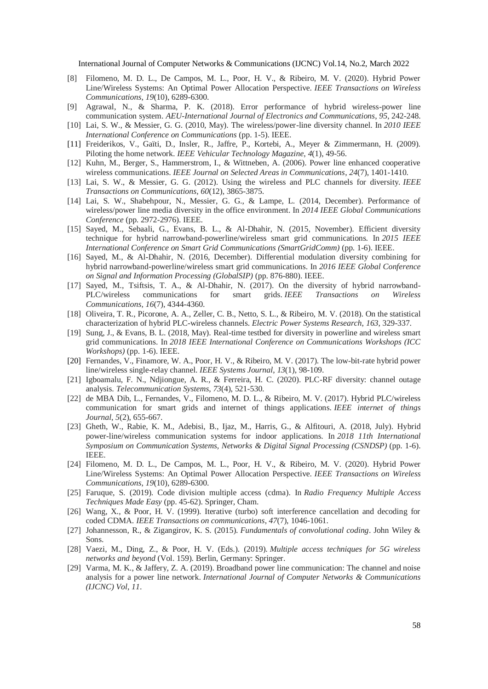- [8] Filomeno, M. D. L., De Campos, M. L., Poor, H. V., & Ribeiro, M. V. (2020). Hybrid Power Line/Wireless Systems: An Optimal Power Allocation Perspective. *IEEE Transactions on Wireless Communications*, *19*(10), 6289-6300.
- [9] Agrawal, N., & Sharma, P. K. (2018). Error performance of hybrid wireless-power line communication system. *AEU-International Journal of Electronics and Communications*, *95*, 242-248.
- [10] Lai, S. W., & Messier, G. G. (2010, May). The wireless/power-line diversity channel. In *2010 IEEE International Conference on Communications* (pp. 1-5). IEEE.
- [11] Freiderikos, V., Gaïti, D., Insler, R., Jaffre, P., Kortebi, A., Meyer & Zimmermann, H. (2009). Piloting the home network. *IEEE Vehicular Technology Magazine*, *4*(1), 49-56.
- [12] Kuhn, M., Berger, S., Hammerstrom, I., & Wittneben, A. (2006). Power line enhanced cooperative wireless communications. *IEEE Journal on Selected Areas in Communications*, *24*(7), 1401-1410.
- [13] Lai, S. W., & Messier, G. G. (2012). Using the wireless and PLC channels for diversity. *IEEE Transactions on Communications*, *60*(12), 3865-3875.
- [14] Lai, S. W., Shabehpour, N., Messier, G. G., & Lampe, L. (2014, December). Performance of wireless/power line media diversity in the office environment. In *2014 IEEE Global Communications Conference* (pp. 2972-2976). IEEE.
- [15] Sayed, M., Sebaali, G., Evans, B. L., & Al-Dhahir, N. (2015, November). Efficient diversity technique for hybrid narrowband-powerline/wireless smart grid communications. In *2015 IEEE International Conference on Smart Grid Communications (SmartGridComm)* (pp. 1-6). IEEE.
- [16] Sayed, M., & Al-Dhahir, N. (2016, December). Differential modulation diversity combining for hybrid narrowband-powerline/wireless smart grid communications. In *2016 IEEE Global Conference on Signal and Information Processing (GlobalSIP)* (pp. 876-880). IEEE.
- [17] Sayed, M., Tsiftsis, T. A., & Al-Dhahir, N. (2017). On the diversity of hybrid narrowband-PLC/wireless communications for smart grids. *IEEE Transactions on Wireless Communications*, *16*(7), 4344-4360.
- [18] Oliveira, T. R., Picorone, A. A., Zeller, C. B., Netto, S. L., & Ribeiro, M. V. (2018). On the statistical characterization of hybrid PLC-wireless channels. *Electric Power Systems Research*, *163*, 329-337.
- [19] Sung, J., & Evans, B. L. (2018, May). Real-time testbed for diversity in powerline and wireless smart grid communications. In *2018 IEEE International Conference on Communications Workshops (ICC Workshops)* (pp. 1-6). IEEE.
- [20] Fernandes, V., Finamore, W. A., Poor, H. V., & Ribeiro, M. V. (2017). The low-bit-rate hybrid power line/wireless single-relay channel. *IEEE Systems Journal*, *13*(1), 98-109.
- [21] Igboamalu, F. N., Ndjiongue, A. R., & Ferreira, H. C. (2020). PLC-RF diversity: channel outage analysis. *Telecommunication Systems*, *73*(4), 521-530.
- [22] de MBA Dib, L., Fernandes, V., Filomeno, M. D. L., & Ribeiro, M. V. (2017). Hybrid PLC/wireless communication for smart grids and internet of things applications. *IEEE internet of things Journal*, *5*(2), 655-667.
- [23] Gheth, W., Rabie, K. M., Adebisi, B., Ijaz, M., Harris, G., & Alfitouri, A. (2018, July). Hybrid power-line/wireless communication systems for indoor applications. In *2018 11th International Symposium on Communication Systems, Networks & Digital Signal Processing (CSNDSP)* (pp. 1-6). IEEE.
- [24] Filomeno, M. D. L., De Campos, M. L., Poor, H. V., & Ribeiro, M. V. (2020). Hybrid Power Line/Wireless Systems: An Optimal Power Allocation Perspective. *IEEE Transactions on Wireless Communications*, *19*(10), 6289-6300.
- [25] Faruque, S. (2019). Code division multiple access (cdma). In *Radio Frequency Multiple Access Techniques Made Easy* (pp. 45-62). Springer, Cham.
- [26] Wang, X., & Poor, H. V. (1999). Iterative (turbo) soft interference cancellation and decoding for coded CDMA. *IEEE Transactions on communications*, *47*(7), 1046-1061.
- [27] Johannesson, R., & Zigangirov, K. S. (2015). *Fundamentals of convolutional coding*. John Wiley & Sons.
- [28] Vaezi, M., Ding, Z., & Poor, H. V. (Eds.). (2019). *Multiple access techniques for 5G wireless networks and beyond* (Vol. 159). Berlin, Germany: Springer.
- [29] Varma, M. K., & Jaffery, Z. A. (2019). Broadband power line communication: The channel and noise analysis for a power line network. *International Journal of Computer Networks & Communications (IJCNC) Vol*, *11*.